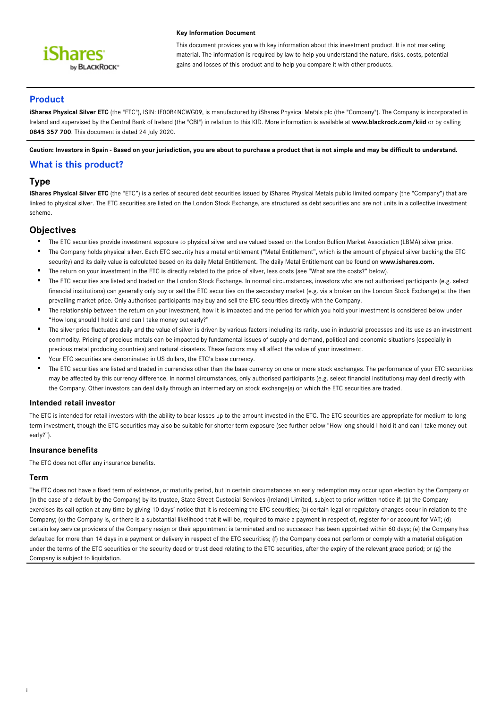

#### **Key Information Document**

This document provides you with key information about this investment product. It is not marketing material. The information is required by law to help you understand the nature, risks, costs, potential gains and losses of this product and to help you compare it with other products.

# **Product**

**iShares Physical Silver ETC** (the "ETC"), ISIN: IE00B4NCWG09, is manufactured by iShares Physical Metals plc (the "Company"). The Company is incorporated in Ireland and supervised by the Central Bank of Ireland (the "CBI") in relation to this KID. More information is available at **www.blackrock.com/kiid** or by calling **0845 357 700**. This document is dated 24 July 2020.

**Caution: Investors in Spain - Based on your jurisdiction, you are about to purchase a product that is not simple and may be difficult to understand.**

# **What is this product?**

# **Type**

iShares Physical Silver ETC (the "ETC") is a series of secured debt securities issued by iShares Physical Metals public limited company (the "Company") that are linked to physical silver. The ETC securities are listed on the London Stock Exchange, are structured as debt securities and are not units in a collective investment scheme.

# **Objectives**

- The ETC securities provide investment exposure to physical silver and are valued based on the London Bullion Market Association (LBMA) silver price.
- The Company holds physical silver. Each ETC security has a metal entitlement ("Metal Entitlement", which is the amount of physical silver backing the ETC security) and its daily value is calculated based on its daily Metal Entitlement. The daily Metal Entitlement can be found on www.ishares.com.
- The return on your investment in the ETC is directly related to the price of silver, less costs (see "What are the costs?" below).
- The ETC securities are listed and traded on the London Stock Exchange. In normal circumstances, investors who are not authorised participants (e.g. select financial institutions) can generally only buy or sell the ETC securities on the secondary market (e.g. via a broker on the London Stock Exchange) at the then prevailing market price. Only authorised participants may buy and sell the ETC securities directly with the Company.
- The relationship between the return on your investment, how it is impacted and the period for which you hold your investment is considered below under "How long should I hold it and can I take money out early?"
- The silver price fluctuates daily and the value of silver is driven by various factors including its rarity, use in industrial processes and its use as an investment commodity. Pricing of precious metals can be impacted by fundamental issues of supply and demand, political and economic situations (especially in precious metal producing countries) and natural disasters. These factors may all affect the value of your investment.
- Your ETC securities are denominated in US dollars, the ETC's base currency.
- The ETC securities are listed and traded in currencies other than the base currency on one or more stock exchanges. The performance of your ETC securities may be affected by this currency difference. In normal circumstances, only authorised participants (e.g. select financial institutions) may deal directly with the Company. Other investors can deal daily through an intermediary on stock exchange(s) on which the ETC securities are traded.

### **Intended retail investor**

The ETC is intended for retail investors with the ability to bear losses up to the amount invested in the ETC. The ETC securities are appropriate for medium to long term investment, though the ETC securities may also be suitable for shorter term exposure (see further below "How long should I hold it and can I take money out early?").

### **Insurance benefits**

The ETC does not offer any insurance benefits.

### **Term**

i

The ETC does not have a fixed term of existence, or maturity period, but in certain circumstances an early redemption may occur upon election by the Company or (in the case of a default by the Company) by its trustee, State Street Custodial Services (Ireland) Limited, subject to prior written notice if: (a) the Company exercises its call option at any time by giving 10 days' notice that it is redeeming the ETC securities; (b) certain legal or regulatory changes occur in relation to the Company; (c) the Company is, or there is a substantial likelihood that it will be, required to make a payment in respect of, register for or account for VAT; (d) certain key service providers of the Company resign or their appointment is terminated and no successor has been appointed within 60 days; (e) the Company has defaulted for more than 14 days in a payment or delivery in respect of the ETC securities; (f) the Company does not perform or comply with a material obligation under the terms of the ETC securities or the security deed or trust deed relating to the ETC securities, after the expiry of the relevant grace period; or (g) the Company is subject to liquidation.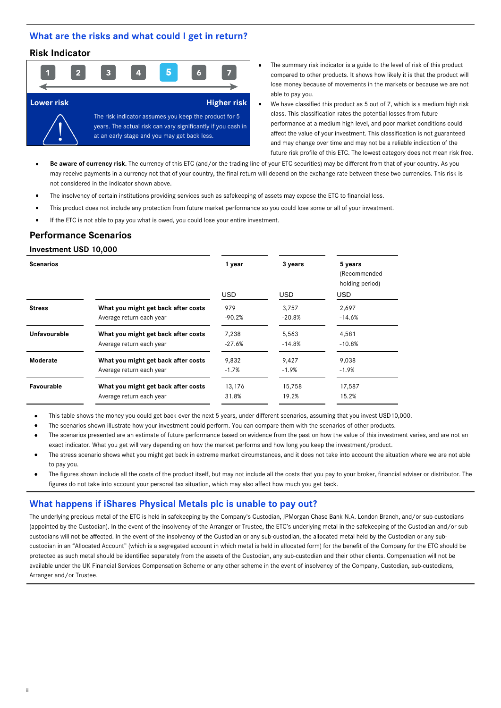### **What are the risks and what could I get in return?**

# **Risk Indicator**



- The summary risk indicator is a guide to the level of risk of this product compared to other products. It shows how likely it is that the product will lose money because of movements in the markets or because we are not able to pay you.
- We have classified this product as 5 out of 7, which is a medium high risk class. This classification rates the potential losses from future performance at a medium high level, and poor market conditions could affect the value of your investment. This classification is not guaranteed and may change over time and may not be a reliable indication of the future risk profile of this ETC. The lowest category does not mean risk free.
- **Be aware of currency risk.** The currency of this ETC (and/or the trading line of your ETC securities) may be different from that of your country. As you may receive payments in a currency not that of your country, the final return will depend on the exchange rate between these two currencies. This risk is not considered in the indicator shown above.
- The insolvency of certain institutions providing services such as safekeeping of assets may expose the ETC to financial loss.
- This product does not include any protection from future market performance so you could lose some or all of your investment.
- If the ETC is not able to pay you what is owed, you could lose your entire investment.

### **Performance Scenarios**

### **Investment USD 10,000**

ii

| 1 year                                        | 3 years    | 5 years<br>(Recommended<br>holding period) |  |
|-----------------------------------------------|------------|--------------------------------------------|--|
| <b>USD</b>                                    | <b>USD</b> | <b>USD</b>                                 |  |
| 979<br>What you might get back after costs    | 3,757      | 2,697                                      |  |
| $-90.2%$                                      | $-20.8%$   | $-14.6%$                                   |  |
| What you might get back after costs<br>7,238  | 5,563      | 4,581                                      |  |
| $-27.6%$                                      | $-14.8%$   | $-10.8%$                                   |  |
| What you might get back after costs<br>9,832  | 9,427      | 9,038                                      |  |
| $-1.7%$                                       | $-1.9%$    | $-1.9%$                                    |  |
| What you might get back after costs<br>13,176 | 15,758     | 17,587                                     |  |
| 31.8%                                         | 19.2%      | 15.2%                                      |  |
|                                               |            |                                            |  |

This table shows the money you could get back over the next 5 years, under different scenarios, assuming that you invest USD10,000.

The scenarios shown illustrate how your investment could perform. You can compare them with the scenarios of other products.

- The scenarios presented are an estimate of future performance based on evidence from the past on how the value of this investment varies, and are not an exact indicator. What you get will vary depending on how the market performs and how long you keep the investment/product.
- The stress scenario shows what you might get back in extreme market circumstances, and it does not take into account the situation where we are not able to pay you.
- The figures shown include all the costs of the product itself, but may not include all the costs that you pay to your broker, financial adviser or distributor. The figures do not take into account your personal tax situation, which may also affect how much you get back.

# **What happens if iShares Physical Metals plc is unable to pay out?**

The underlying precious metal of the ETC is held in safekeeping by the Company's Custodian, JPMorgan Chase Bank N.A. London Branch, and/or sub-custodians (appointed by the Custodian). In the event of the insolvency of the Arranger or Trustee, the ETC's underlying metal in the safekeeping of the Custodian and/or subcustodians will not be affected. In the event of the insolvency of the Custodian or any sub-custodian, the allocated metal held by the Custodian or any subcustodian in an "Allocated Account" (which is a segregated account in which metal is held in allocated form) for the benefit of the Company for the ETC should be protected as such metal should be identified separately from the assets of the Custodian, any sub-custodian and their other clients. Compensation will not be available under the UK Financial Services Compensation Scheme or any other scheme in the event of insolvency of the Company, Custodian, sub-custodians, Arranger and/or Trustee.